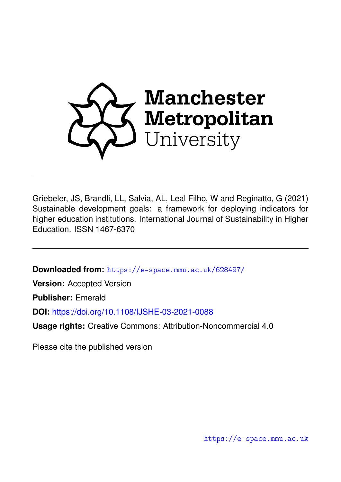

Griebeler, JS, Brandli, LL, Salvia, AL, Leal Filho, W and Reginatto, G (2021) Sustainable development goals: a framework for deploying indicators for higher education institutions. International Journal of Sustainability in Higher Education. ISSN 1467-6370

**Downloaded from:** <https://e-space.mmu.ac.uk/628497/>

**Version:** Accepted Version

**Publisher:** Emerald

**DOI:** <https://doi.org/10.1108/IJSHE-03-2021-0088>

**Usage rights:** Creative Commons: Attribution-Noncommercial 4.0

Please cite the published version

<https://e-space.mmu.ac.uk>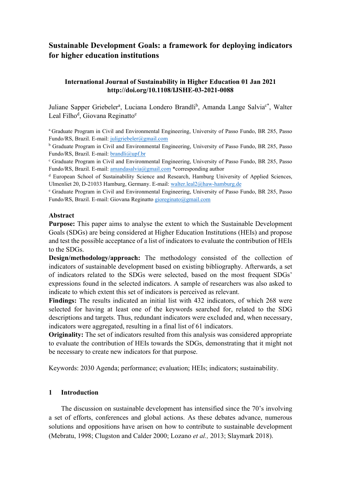# **Sustainable Development Goals: a framework for deploying indicators for higher education institutions**

## **International Journal of Sustainability in Higher Education 01 Jan 2021 http://doi.org/10.1108/IJSHE-03-2021-0088**

Juliane Sapper Griebeler<sup>a</sup>, Luciana Londero Brandli<sup>b</sup>, Amanda Lange Salvia<sup>c\*</sup>, Walter Leal Filho<sup>d</sup>, Giovana Reginatto<sup>e</sup>

<sup>a</sup> Graduate Program in Civil and Environmental Engineering, University of Passo Fundo, BR 285, Passo Fundo/RS, Brazil. E-mail[: juligriebeler@gmail.com](mailto:juligriebeler@gmail.com)

<sup>b</sup> Graduate Program in Civil and Environmental Engineering, University of Passo Fundo, BR 285, Passo Fundo/RS, Brazil. E-mail[: brandli@upf.br](mailto:brandli@upf.br)<br>
c Graduate Program in Civil and Environmental Engineering, University of Passo Fundo, BR 285, Passo

Fundo/RS, Brazil. E-mail[: amandasalvia@gmail.com](mailto:amandasalvia@gmail.com) \*corresponding author

<sup>d</sup> European School of Sustainability Science and Research, Hamburg University of Applied Sciences, Ulmenliet 20, D-21033 Hamburg, Germany. E-mail: [walter.leal2@haw-hamburg.de](mailto:walter.leal2@haw-hamburg.de)

<sup>e</sup> Graduate Program in Civil and Environmental Engineering, University of Passo Fundo, BR 285, Passo Fundo/RS, Brazil. E-mail: Giovana Reginatto [gioreginato@gmail.com](mailto:gioreginato@gmail.com)

## **Abstract**

**Purpose:** This paper aims to analyse the extent to which the Sustainable Development Goals (SDGs) are being considered at Higher Education Institutions (HEIs) and propose and test the possible acceptance of a list of indicators to evaluate the contribution of HEIs to the SDGs.

**Design/methodology/approach:** The methodology consisted of the collection of indicators of sustainable development based on existing bibliography. Afterwards, a set of indicators related to the SDGs were selected, based on the most frequent SDGs' expressions found in the selected indicators. A sample of researchers was also asked to indicate to which extent this set of indicators is perceived as relevant.

**Findings:** The results indicated an initial list with 432 indicators, of which 268 were selected for having at least one of the keywords searched for, related to the SDG descriptions and targets. Thus, redundant indicators were excluded and, when necessary, indicators were aggregated, resulting in a final list of 61 indicators.

**Originality:** The set of indicators resulted from this analysis was considered appropriate to evaluate the contribution of HEIs towards the SDGs, demonstrating that it might not be necessary to create new indicators for that purpose.

Keywords: 2030 Agenda; performance; evaluation; HEIs; indicators; sustainability.

## **1 Introduction**

The discussion on sustainable development has intensified since the 70's involving a set of efforts, conferences and global actions. As these debates advance, numerous solutions and oppositions have arisen on how to contribute to sustainable development (Mebratu, 1998; Clugston and Calder 2000; Lozano *et al.,* 2013; Slaymark 2018).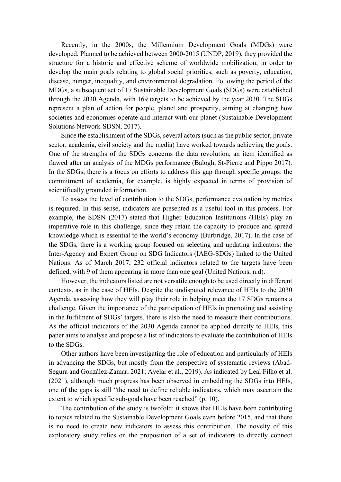Recently, in the 2000s, the Millennium Development Goals (MDGs) were developed. Planned to be achieved between 2000-2015 (UNDP, 2019), they provided the structure for a historic and effective scheme of worldwide mobilization, in order to develop the main goals relating to global social priorities, such as poverty, education, disease, hunger, inequality, and environmental degradation. Following the period of the MDGs, a subsequent set of 17 Sustainable Development Goals (SDGs) were established through the 2030 Agenda, with 169 targets to be achieved by the year 2030. The SDGs represent a plan of action for people, planet and prosperity, aiming at changing how societies and economies operate and interact with our planet (Sustainable Development Solutions Network-SDSN, 2017).

Since the establishment of the SDGs, several actors (such as the public sector, private sector, academia, civil society and the media) have worked towards achieving the goals. One of the strengths of the SDGs concerns the data revolution, an item identified as flawed after an analysis of the MDGs performance (Balogh, St-Pierre and Pippo 2017). In the SDGs, there is a focus on efforts to address this gap through specific groups: the commitment of academia, for example, is highly expected in terms of provision of scientifically grounded information.

To assess the level of contribution to the SDGs, performance evaluation by metrics is required. In this sense, indicators are presented as a useful tool in this process. For example, the SDSN (2017) stated that Higher Education Institutions (HEIs) play an imperative role in this challenge, since they retain the capacity to produce and spread knowledge which is essential to the world's economy (Burbridge, 2017). In the case of the SDGs, there is a working group focused on selecting and updating indicators: the Inter-Agency and Expert Group on SDG Indicators (IAEG-SDGs) linked to the United Nations. As of March 2017, 232 official indicators related to the targets have been defined, with 9 of them appearing in more than one goal (United Nations, n.d).

However, the indicators listed are not versatile enough to be used directly in different contexts, as in the case of HEIs. Despite the undisputed relevance of HEIs to the 2030 Agenda, assessing how they will play their role in helping meet the 17 SDGs remains a challenge. Given the importance of the participation of HEIs in promoting and assisting in the fulfilment of SDGs' targets, there is also the need to measure their contributions. As the official indicators of the 2030 Agenda cannot be applied directly to HEIs, this paper aims to analyse and propose a list of indicators to evaluate the contribution of HEIs to the SDGs.

Other authors have been investigating the role of education and particularly of HEIs in advancing the SDGs, but mostly from the perspective of systematic reviews (Abad-Segura and González-Zamar, 2021; Avelar et al., 2019). As indicated by Leal Filho et al. (2021), although much progress has been observed in embedding the SDGs into HEIs, one of the gaps is still "the need to define reliable indicators, which may ascertain the extent to which specific sub-goals have been reached" (p. 10).

The contribution of the study is twofold: it shows that HEIs have been contributing to topics related to the Sustainable Development Goals even before 2015, and that there is no need to create new indicators to assess this contribution. The novelty of this exploratory study relies on the proposition of a set of indicators to directly connect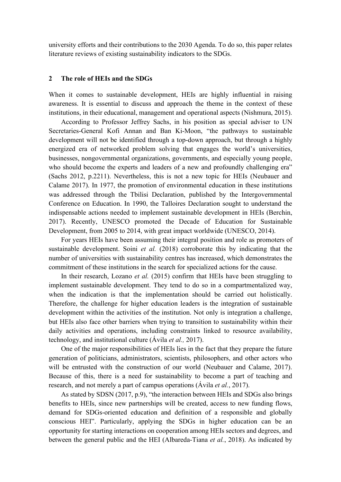university efforts and their contributions to the 2030 Agenda. To do so, this paper relates literature reviews of existing sustainability indicators to the SDGs.

### **2 The role of HEIs and the SDGs**

When it comes to sustainable development, HEIs are highly influential in raising awareness. It is essential to discuss and approach the theme in the context of these institutions, in their educational, management and operational aspects (Nishmura, 2015).

According to Professor Jeffrey Sachs, in his position as special adviser to UN Secretaries-General Kofi Annan and Ban Ki-Moon, "the pathways to sustainable development will not be identified through a top-down approach, but through a highly energized era of networked problem solving that engages the world's universities, businesses, nongovernmental organizations, governments, and especially young people, who should become the experts and leaders of a new and profoundly challenging era" (Sachs 2012, p.2211). Nevertheless, this is not a new topic for HEIs (Neubauer and Calame 2017). In 1977, the promotion of environmental education in these institutions was addressed through the Tbilisi Declaration, published by the Intergovernmental Conference on Education. In 1990, the Talloires Declaration sought to understand the indispensable actions needed to implement sustainable development in HEIs (Berchin, 2017). Recently, UNESCO promoted the Decade of Education for Sustainable Development, from 2005 to 2014, with great impact worldwide (UNESCO, 2014).

For years HEIs have been assuming their integral position and role as promoters of sustainable development. Soini *et al.* (2018) corroborate this by indicating that the number of universities with sustainability centres has increased, which demonstrates the commitment of these institutions in the search for specialized actions for the cause.

In their research, Lozano *et al.* (2015) confirm that HEIs have been struggling to implement sustainable development. They tend to do so in a compartmentalized way, when the indication is that the implementation should be carried out holistically. Therefore, the challenge for higher education leaders is the integration of sustainable development within the activities of the institution. Not only is integration a challenge, but HEIs also face other barriers when trying to transition to sustainability within their daily activities and operations, including constraints linked to resource availability, technology, and institutional culture (Ávila *et al.,* 2017).

One of the major responsibilities of HEIs lies in the fact that they prepare the future generation of politicians, administrators, scientists, philosophers, and other actors who will be entrusted with the construction of our world (Neubauer and Calame, 2017). Because of this, there is a need for sustainability to become a part of teaching and research, and not merely a part of campus operations (Ávila *et al.*, 2017).

As stated by SDSN (2017, p.9), "the interaction between HEIs and SDGs also brings benefits to HEIs, since new partnerships will be created, access to new funding flows, demand for SDGs-oriented education and definition of a responsible and globally conscious HEI". Particularly, applying the SDGs in higher education can be an opportunity for starting interactions on cooperation among HEIs sectors and degrees, and between the general public and the HEI (Albareda-Tiana *et al.*, 2018). As indicated by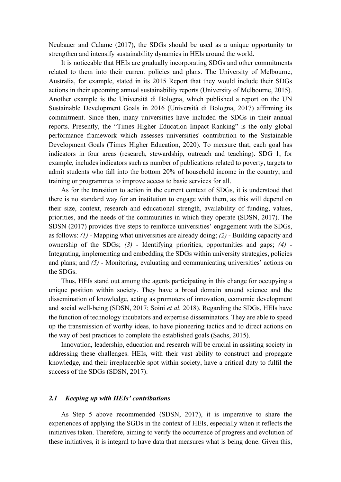Neubauer and Calame (2017), the SDGs should be used as a unique opportunity to strengthen and intensify sustainability dynamics in HEIs around the world.

It is noticeable that HEIs are gradually incorporating SDGs and other commitments related to them into their current policies and plans. The University of Melbourne, Australia, for example, stated in its 2015 Report that they would include their SDGs actions in their upcoming annual sustainability reports (University of Melbourne, 2015). Another example is the Università di Bologna, which published a report on the UN Sustainable Development Goals in 2016 (Università di Bologna, 2017) affirming its commitment. Since then, many universities have included the SDGs in their annual reports. Presently, the "Times Higher Education Impact Ranking" is the only global performance framework which assesses universities' contribution to the Sustainable Development Goals (Times Higher Education, 2020). To measure that, each goal has indicators in four areas (research, stewardship, outreach and teaching). SDG 1, for example, includes indicators such as number of publications related to poverty, targets to admit students who fall into the bottom 20% of household income in the country, and training or programmes to improve access to basic services for all.

As for the transition to action in the current context of SDGs, it is understood that there is no standard way for an institution to engage with them, as this will depend on their size, context, research and educational strength, availability of funding, values, priorities, and the needs of the communities in which they operate (SDSN, 2017). The SDSN (2017) provides five steps to reinforce universities' engagement with the SDGs, as follows: *(1)* - Mapping what universities are already doing; *(2)* - Building capacity and ownership of the SDGs; *(3)* - Identifying priorities, opportunities and gaps; *(4)* - Integrating, implementing and embedding the SDGs within university strategies, policies and plans; and *(5)* - Monitoring, evaluating and communicating universities' actions on the SDGs.

Thus, HEIs stand out among the agents participating in this change for occupying a unique position within society. They have a broad domain around science and the dissemination of knowledge, acting as promoters of innovation, economic development and social well-being (SDSN, 2017; Soini *et al.* 2018). Regarding the SDGs, HEIs have the function of technology incubators and expertise disseminators. They are able to speed up the transmission of worthy ideas, to have pioneering tactics and to direct actions on the way of best practices to complete the established goals (Sachs, 2015).

Innovation, leadership, education and research will be crucial in assisting society in addressing these challenges. HEIs, with their vast ability to construct and propagate knowledge, and their irreplaceable spot within society, have a critical duty to fulfil the success of the SDGs (SDSN, 2017).

### *2.1 Keeping up with HEIs' contributions*

As Step 5 above recommended (SDSN, 2017), it is imperative to share the experiences of applying the SGDs in the context of HEIs, especially when it reflects the initiatives taken. Therefore, aiming to verify the occurrence of progress and evolution of these initiatives, it is integral to have data that measures what is being done. Given this,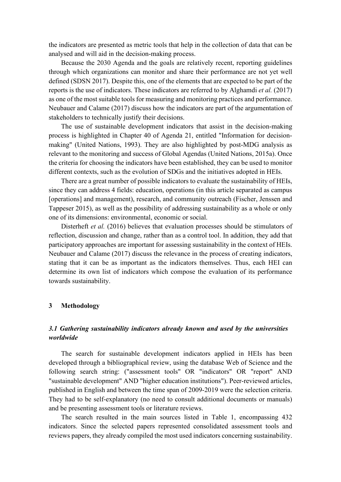the indicators are presented as metric tools that help in the collection of data that can be analysed and will aid in the decision-making process.

Because the 2030 Agenda and the goals are relatively recent, reporting guidelines through which organizations can monitor and share their performance are not yet well defined (SDSN 2017). Despite this, one of the elements that are expected to be part of the reports is the use of indicators. These indicators are referred to by Alghamdi *et al.* (2017) as one of the most suitable tools for measuring and monitoring practices and performance. Neubauer and Calame (2017) discuss how the indicators are part of the argumentation of stakeholders to technically justify their decisions.

The use of sustainable development indicators that assist in the decision-making process is highlighted in Chapter 40 of Agenda 21, entitled "Information for decisionmaking" (United Nations, 1993). They are also highlighted by post-MDG analysis as relevant to the monitoring and success of Global Agendas (United Nations, 2015a). Once the criteria for choosing the indicators have been established, they can be used to monitor different contexts, such as the evolution of SDGs and the initiatives adopted in HEIs.

There are a great number of possible indicators to evaluate the sustainability of HEIs, since they can address 4 fields: education, operations (in this article separated as campus [operations] and management), research, and community outreach (Fischer, Jenssen and Tappeser 2015), as well as the possibility of addressing sustainability as a whole or only one of its dimensions: environmental, economic or social.

Disterheft *et al.* (2016) believes that evaluation processes should be stimulators of reflection, discussion and change, rather than as a control tool. In addition, they add that participatory approaches are important for assessing sustainability in the context of HEIs. Neubauer and Calame (2017) discuss the relevance in the process of creating indicators, stating that it can be as important as the indicators themselves. Thus, each HEI can determine its own list of indicators which compose the evaluation of its performance towards sustainability.

## **3 Methodology**

## *3.1 Gathering sustainability indicators already known and used by the universities worldwide*

The search for sustainable development indicators applied in HEIs has been developed through a bibliographical review, using the database Web of Science and the following search string: ("assessment tools" OR "indicators" OR "report" AND "sustainable development" AND "higher education institutions"). Peer-reviewed articles, published in English and between the time span of 2009-2019 were the selection criteria. They had to be self-explanatory (no need to consult additional documents or manuals) and be presenting assessment tools or literature reviews.

The search resulted in the main sources listed in Table 1, encompassing 432 indicators. Since the selected papers represented consolidated assessment tools and reviews papers, they already compiled the most used indicators concerning sustainability.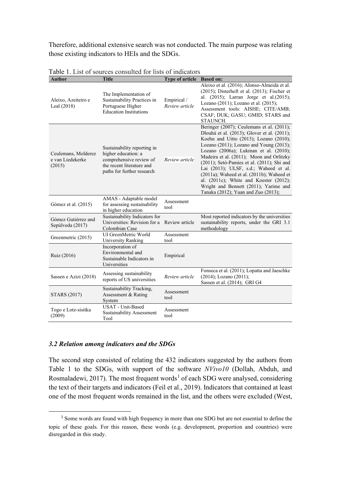Therefore, additional extensive search was not conducted. The main purpose was relating those existing indicators to HEIs and the SDGs.

| <b>Author</b>                                     | <b>Title</b>                                                                                                                             | Type of article Based on:     |                                                                                                                                                                                                                                                                                                                                                                                                                                                                                                                                  |
|---------------------------------------------------|------------------------------------------------------------------------------------------------------------------------------------------|-------------------------------|----------------------------------------------------------------------------------------------------------------------------------------------------------------------------------------------------------------------------------------------------------------------------------------------------------------------------------------------------------------------------------------------------------------------------------------------------------------------------------------------------------------------------------|
| Aleixo, Azeiteiro e<br>Leal (2018)                | The Implementation of<br>Sustainability Practices in<br>Portuguese Higher<br><b>Education Institutions</b>                               | Empirical /<br>Review article | Aleixo et al. (2016); Alonso-Almeida et al.<br>$(2015)$ ; Disterheft et al. $(2013)$ ; Fischer et<br>al. (2015); Larran Jorge et al.(2015);<br>Lozano (2011); Lozano et al. (2015);<br>Assessment tools: AISHE; CITE/AMB;<br>CSAF; DUK; GASU; GMID; STARS and<br>STAUNCH.                                                                                                                                                                                                                                                        |
| Ceulemans, Molderez<br>e van Liedekerke<br>(2015) | Sustainability reporting in<br>higher education: a<br>comprehensive review of<br>the recent literature and<br>paths for further research | Review article                | Beringer (2007); Ceulemans et al. (2011);<br>Dlouhá et al. (2013); Glover et al. (2011);<br>Koehn and Uitto (2013); Lozano (2010);<br>Lozano (2011); Lozano and Young (2013);<br>Lozano (2006a); Lukman et al. (2010);<br>Madeira et al. (2011); Moon and Orlitzky<br>(2011); Setó-Pamies et al. (2011); Shi and<br>Lai (2013); ULSF, s.d.; Waheed et al.<br>(2011a); Waheed et al. (2011b); Waheed et<br>al. (2011c); White and Koester (2012);<br>Wright and Bennett (2011); Yarime and<br>Tanaka (2012); Yuan and Zuo (2013); |
| Gómez et al. (2015)                               | AMAS - Adaptable model<br>for assessing sustainability<br>in higher education                                                            | Assessment<br>tool            |                                                                                                                                                                                                                                                                                                                                                                                                                                                                                                                                  |
| Gómez Gutiérrez and<br>Sepúlveda (2017)           | Sustainability Indicators for<br>Universities: Revision for a<br>Colombian Case                                                          | Review article                | Most reported indicators by the universities<br>sustainability reports, under the GRI 3.1<br>methodology                                                                                                                                                                                                                                                                                                                                                                                                                         |
| Greenmetric (2015)                                | UI GreenMetric World<br>University Ranking                                                                                               | Assessment<br>tool            |                                                                                                                                                                                                                                                                                                                                                                                                                                                                                                                                  |
| Ruiz (2016)                                       | Incorporation of<br>Environmental and<br>Sustainable Indicators in<br>Universities                                                       | Empirical                     |                                                                                                                                                                                                                                                                                                                                                                                                                                                                                                                                  |
| Sassen e Azizi (2018)                             | Assessing sustainability<br>reports of US universities                                                                                   | Review article                | Fonseca et al. (2011); Lopatta and Jaeschke<br>(2014); Lozano (2011);<br>Sassen et al. (2014); GRI G4                                                                                                                                                                                                                                                                                                                                                                                                                            |
| <b>STARS</b> (2017)                               | Sustainability Tracking,<br>Assessment & Rating<br>System                                                                                | Assessment<br>tool            |                                                                                                                                                                                                                                                                                                                                                                                                                                                                                                                                  |
| Togo e Lotz-sisitka<br>(2009)                     | USAT - Unit-Based<br><b>Sustainability Assessment</b><br>Tool                                                                            | Assessment<br>tool            |                                                                                                                                                                                                                                                                                                                                                                                                                                                                                                                                  |

Table 1. List of sources consulted for lists of indicators

## *3.2 Relation among indicators and the SDGs*

The second step consisted of relating the 432 indicators suggested by the authors from Table 1 to the SDGs, with support of the software *NVivo10* (Dollah, Abduh, and Rosmaladewi, 20[1](#page-6-0)7). The most frequent words<sup>1</sup> of each SDG were analysed, considering the text of their targets and indicators (Feil et al., 2019). Indicators that contained at least one of the most frequent words remained in the list, and the others were excluded (West,

<span id="page-6-0"></span><sup>&</sup>lt;sup>1</sup> Some words are found with high frequency in more than one SDG but are not essential to define the topic of these goals. For this reason, these words (e.g. development, proportion and countries) were disregarded in this study.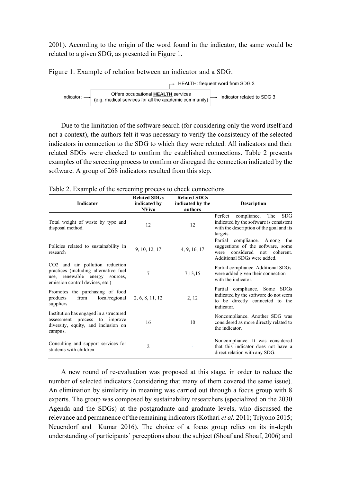2001). According to the origin of the word found in the indicator, the same would be related to a given SDG, as presented in Figure 1.

Figure 1. Example of relation between an indicator and a SDG.



Due to the limitation of the software search (for considering only the word itself and not a context), the authors felt it was necessary to verify the consistency of the selected indicators in connection to the SDG to which they were related. All indicators and their related SDGs were checked to confirm the established connections. Table 2 presents examples of the screening process to confirm or disregard the connection indicated by the software. A group of 268 indicators resulted from this step.

| <b>Indicator</b>                                                                                                                                 | <b>Related SDGs</b><br>indicated by<br><b>NVivo</b> | <b>Related SDGs</b><br>indicated by the<br>authors | <b>Description</b>                                                                                                                       |
|--------------------------------------------------------------------------------------------------------------------------------------------------|-----------------------------------------------------|----------------------------------------------------|------------------------------------------------------------------------------------------------------------------------------------------|
| Total weight of waste by type and<br>disposal method.                                                                                            | 12                                                  | 12                                                 | compliance.<br>The<br>SDG.<br>Perfect<br>indicated by the software is consistent<br>with the description of the goal and its<br>targets. |
| Policies related to sustainability in<br>research                                                                                                | 9, 10, 12, 17                                       | 4, 9, 16, 17                                       | Partial compliance. Among the<br>suggestions of the software, some<br>considered<br>not coherent.<br>were<br>Additional SDGs were added. |
| CO2 and air pollution reduction<br>practices (including alternative fuel<br>use, renewable energy<br>sources.<br>emission control devices, etc.) | $\overline{7}$                                      | 7,13,15                                            | Partial compliance. Additional SDGs<br>were added given their connection<br>with the indicator.                                          |
| Promotes the purchasing of food<br>from<br>local/regional<br>products<br>suppliers                                                               | 2, 6, 8, 11, 12                                     | 2, 12                                              | Partial compliance. Some SDGs<br>indicated by the software do not seem<br>to be directly connected to the<br>indicator.                  |
| Institution has engaged in a structured<br>assessment process to improve<br>diversity, equity, and inclusion on<br>campus.                       | 16                                                  | 10                                                 | Noncompliance. Another SDG was<br>considered as more directly related to<br>the indicator.                                               |
| Consulting and support services for<br>students with children                                                                                    | $\overline{c}$                                      |                                                    | Noncompliance. It was considered<br>that this indicator does not have a<br>direct relation with any SDG.                                 |

Table 2. Example of the screening process to check connections

A new round of re-evaluation was proposed at this stage, in order to reduce the number of selected indicators (considering that many of them covered the same issue). An elimination by similarity in meaning was carried out through a focus group with 8 experts. The group was composed by sustainability researchers (specialized on the 2030 Agenda and the SDGs) at the postgraduate and graduate levels, who discussed the relevance and permanence of the remaining indicators (Kothari *et al.* 2011; Triyono 2015; Neuendorf and Kumar 2016). The choice of a focus group relies on its in-depth understanding of participants' perceptions about the subject (Shoaf and Shoaf, 2006) and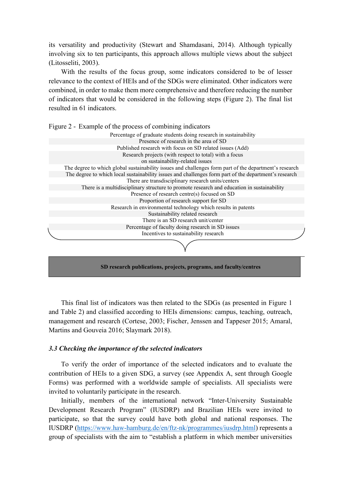its versatility and productivity (Stewart and Shamdasani, 2014). Although typically involving six to ten participants, this approach allows multiple views about the subject (Litosseliti, 2003).

With the results of the focus group, some indicators considered to be of lesser relevance to the context of HEIs and of the SDGs were eliminated. Other indicators were combined, in order to make them more comprehensive and therefore reducing the number of indicators that would be considered in the following steps (Figure 2). The final list resulted in 61 indicators.

Figure 2 - Example of the process of combining indicators



This final list of indicators was then related to the SDGs (as presented in Figure 1 and Table 2) and classified according to HEIs dimensions: campus, teaching, outreach, management and research (Cortese, 2003; Fischer, Jenssen and Tappeser 2015; Amaral, Martins and Gouveia 2016; Slaymark 2018).

### *3.3 Checking the importance of the selected indicators*

To verify the order of importance of the selected indicators and to evaluate the contribution of HEIs to a given SDG, a survey (see Appendix A, sent through Google Forms) was performed with a worldwide sample of specialists. All specialists were invited to voluntarily participate in the research.

Initially, members of the international network "Inter-University Sustainable Development Research Program" (IUSDRP) and Brazilian HEIs were invited to participate, so that the survey could have both global and national responses. The IUSDRP [\(https://www.haw-hamburg.de/en/ftz-nk/programmes/iusdrp.html\)](https://www.haw-hamburg.de/en/ftz-nk/programmes/iusdrp.html) represents a group of specialists with the aim to "establish a platform in which member universities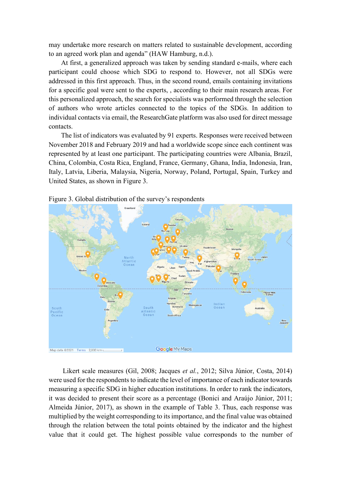may undertake more research on matters related to sustainable development, according to an agreed work plan and agenda" (HAW Hamburg, n.d.).

At first, a generalized approach was taken by sending standard e-mails, where each participant could choose which SDG to respond to. However, not all SDGs were addressed in this first approach. Thus, in the second round, emails containing invitations for a specific goal were sent to the experts, , according to their main research areas. For this personalized approach, the search for specialists was performed through the selection of authors who wrote articles connected to the topics of the SDGs. In addition to individual contacts via email, the ResearchGate platform was also used for direct message contacts.

The list of indicators was evaluated by 91 experts. Responses were received between November 2018 and February 2019 and had a worldwide scope since each continent was represented by at least one participant. The participating countries were Albania, Brazil, China, Colombia, Costa Rica, England, France, Germany, Ghana, India, Indonesia, Iran, Italy, Latvia, Liberia, Malaysia, Nigeria, Norway, Poland, Portugal, Spain, Turkey and United States, as shown in Figure 3.



Figure 3. Global distribution of the survey's respondents

Likert scale measures (Gil, 2008; Jacques *et al.*, 2012; Silva Júnior, Costa, 2014) were used for the respondents to indicate the level of importance of each indicator towards measuring a specific SDG in higher education institutions. In order to rank the indicators, it was decided to present their score as a percentage (Bonici and Araújo Júnior, 2011; Almeida Júnior, 2017), as shown in the example of Table 3. Thus, each response was multiplied by the weight corresponding to its importance, and the final value was obtained through the relation between the total points obtained by the indicator and the highest value that it could get. The highest possible value corresponds to the number of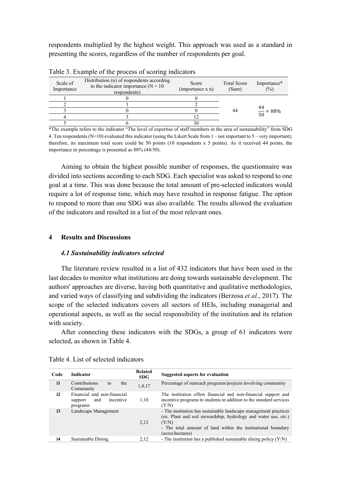respondents multiplied by the highest weight. This approach was used as a standard in presenting the scores, regardless of the number of respondents per goal.

| Scale of<br>Importance | Distribution (n) of respondents according<br>to the indicator importance ( $N = 10$<br>respondents) | Score<br>(importance x n) | <b>Total Score</b><br>(Sum) | Importance*<br>(%)    |
|------------------------|-----------------------------------------------------------------------------------------------------|---------------------------|-----------------------------|-----------------------|
|                        |                                                                                                     |                           |                             |                       |
|                        |                                                                                                     |                           |                             |                       |
|                        |                                                                                                     |                           | 44                          | $\frac{44}{50}$ = 88% |
|                        |                                                                                                     |                           |                             |                       |
|                        |                                                                                                     | 30                        |                             |                       |

Table 3. Example of the process of scoring indicators

\*The example refers to the indicator "The level of expertise of staff members in the area of sustainability" from SDG 4. Ten respondents (N=10) evaluated this indicator (using the Likert Scale from  $1$  – not important to  $5$  – very important); therefore, its maximum total score could be 50 points (10 respondents x 5 points). As it received 44 points, the importance in percentage is presented as 88% (44/50).

Aiming to obtain the highest possible number of responses, the questionnaire was divided into sections according to each SDG. Each specialist was asked to respond to one goal at a time. This was done because the total amount of pre-selected indicators would require a lot of response time, which may have resulted in response fatigue. The option to respond to more than one SDG was also available. The results allowed the evaluation of the indicators and resulted in a list of the most relevant ones.

## **4 Results and Discussions**

### *4.1 Sustainability indicators selected*

The literature review resulted in a list of 432 indicators that have been used in the last decades to monitor what institutions are doing towards sustainable development. The authors' approaches are diverse, having both quantitative and qualitative methodologies, and varied ways of classifying and subdividing the indicators (Berzosa *et al.*, 2017). The scope of the selected indicators covers all sectors of HEIs, including managerial and operational aspects, as well as the social responsibility of the institution and its relation with society.

After connecting these indicators with the SDGs, a group of 61 indicators were selected, as shown in Table 4.

| Code          | <b>Indicator</b>                                                       | Related<br><b>SDG</b> | Suggested aspects for evaluation                                                                                                                                                                                                 |
|---------------|------------------------------------------------------------------------|-----------------------|----------------------------------------------------------------------------------------------------------------------------------------------------------------------------------------------------------------------------------|
| $\mathbf i$ 1 | Contributions<br>the<br>to<br>Community                                | 1,8,17                | Percentage of outreach programs/projects involving community                                                                                                                                                                     |
| i2            | Financial and non-financial<br>incentive<br>and<br>support<br>programs | 1.10                  | The institution offers financial and non-financial support and<br>incentive programs to students in addition to the standard services<br>(Y/N)                                                                                   |
| i3            | Landscape Management                                                   | 2,12                  | - The institution has sustainable landscape management practices<br>(ex. Plant and soil stewardship, hydrology and water use, etc.)<br>(Y/N)<br>- The total amount of land within the institutional boundary<br>(acres/hectares) |
| i4            | Sustainable Dining                                                     | 2,12                  | - The institution has a published sustainable dining policy $(Y/N)$                                                                                                                                                              |
|               |                                                                        |                       |                                                                                                                                                                                                                                  |

| Table 4. List of selected indicators |
|--------------------------------------|
|--------------------------------------|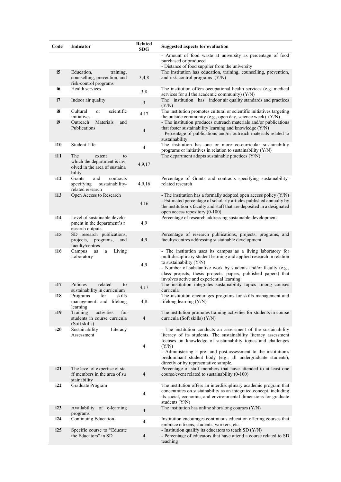| Code | Indicator                                                                                     | <b>Related</b><br><b>SDG</b> | <b>Suggested aspects for evaluation</b>                                                                                                                                                                                                                                                                                                                                                 |
|------|-----------------------------------------------------------------------------------------------|------------------------------|-----------------------------------------------------------------------------------------------------------------------------------------------------------------------------------------------------------------------------------------------------------------------------------------------------------------------------------------------------------------------------------------|
|      |                                                                                               |                              | - Amount of food waste at university as percentage of food<br>purchased or produced<br>- Distance of food supplier from the university                                                                                                                                                                                                                                                  |
| i5   | Education,<br>training,<br>counselling, prevention, and<br>risk-control programs              | 3,4,8                        | The institution has education, training, counselling, prevention,<br>and risk-control programs (Y/N)                                                                                                                                                                                                                                                                                    |
| i6   | Health services                                                                               | 3,8                          | The institution offers occupational health services (e.g. medical<br>services for all the academic community) $(Y/N)$                                                                                                                                                                                                                                                                   |
| i7   | Indoor air quality                                                                            | $\mathfrak{Z}$               | The institution has indoor air quality standards and practices<br>(Y/N)                                                                                                                                                                                                                                                                                                                 |
| i8   | Cultural<br>scientific<br><sub>or</sub><br>initiatives                                        | 4,17                         | The institution promotes cultural or scientific initiatives targeting<br>the outside community (e.g., open day, science week) $(Y/N)$                                                                                                                                                                                                                                                   |
| i9   | Outreach<br>Materials<br>and<br>Publications                                                  | $\overline{4}$               | - The institution produces outreach materials and/or publications<br>that foster sustainability learning and knowledge (Y/N)<br>- Percentage of publications and/or outreach materials related to<br>sustainability                                                                                                                                                                     |
| i10  | Student Life                                                                                  | $\overline{4}$               | The institution has one or more co-curricular sustainability<br>programs or initiatives in relation to sustainability $(Y/N)$                                                                                                                                                                                                                                                           |
| 111  | The<br>extent<br>to<br>which the department is inv<br>olved in the area of sustaina<br>bility | 4,9,17                       | The department adopts sustainable practices (Y/N)                                                                                                                                                                                                                                                                                                                                       |
| 112  | Grants<br>and<br>contracts<br>specifying<br>sustainability-<br>related research               | 4,9,16                       | Percentage of Grants and contracts specifying sustainability-<br>related research                                                                                                                                                                                                                                                                                                       |
| 113  | Open Access to Research                                                                       | 4,16                         | - The institution has a formally adopted open access policy $(Y/N)$<br>- Estimated percentage of scholarly articles published annually by<br>the institution's faculty and staff that are deposited in a designated<br>open access repository (0-100)                                                                                                                                   |
| 114  | Level of sustainable develo<br>pment in the department's r<br>esearch outputs                 | 4,9                          | Percentage of research addressing sustainable development                                                                                                                                                                                                                                                                                                                               |
| 115  | SD research publications,<br>projects,<br>programs,<br>and<br>faculty/centres                 | 4,9                          | Percentage of research publications, projects, programs, and<br>faculty/centres addressing sustainable development                                                                                                                                                                                                                                                                      |
| i16  | Campus<br>Living<br>as<br>a<br>Laboratory                                                     | 4,9                          | - The institution uses its campus as a living laboratory for<br>multidisciplinary student learning and applied research in relation<br>to sustainability $(Y/N)$<br>- Number of substantive work by students and/or faculty (e.g.,<br>class projects, thesis projects, papers, published papers) that<br>involves active and experiential learning                                      |
| 117  | Policies<br>related<br>to<br>sustainability in curriculum                                     | 4,17                         | The institution integrates sustainability topics among courses<br>curricula                                                                                                                                                                                                                                                                                                             |
| i18  | Programs<br>skills<br>for<br>management and lifelong<br>learning                              | 4,8                          | The institution encourages programs for skills management and<br>lifelong learning (Y/N)                                                                                                                                                                                                                                                                                                |
| i19  | Training<br>activities<br>for<br>students in course curricula<br>(Soft skills)                | $\overline{4}$               | The institution promotes training activities for students in course<br>curricula (Soft skills) (Y/N)                                                                                                                                                                                                                                                                                    |
| i20  | Sustainability<br>Literacy<br>Assessment                                                      | $\overline{4}$               | - The institution conducts an assessment of the sustainability<br>literacy of its students. The sustainability literacy assessment<br>focuses on knowledge of sustainability topics and challenges<br>(Y/N)<br>- Administering a pre- and post-assessment to the institution's<br>predominant student body (e.g., all undergraduate students),<br>directly or by representative sample. |
| i21  | The level of expertise of sta<br>ff members in the area of su<br>stainability                 | $\overline{4}$               | Percentage of staff members that have attended to at least one<br>course/event related to sustainability (0-100)                                                                                                                                                                                                                                                                        |
| i22  | Graduate Program                                                                              | $\overline{4}$               | The institution offers an interdisciplinary academic program that<br>concentrates on sustainability as an integrated concept, including<br>its social, economic, and environmental dimensions for graduate<br>students $(Y/N)$                                                                                                                                                          |
| i23  | Availability of e-learning<br>programs                                                        | $\overline{4}$               | The institution has online short/long courses (Y/N)                                                                                                                                                                                                                                                                                                                                     |
| i24  | Continuing Education                                                                          | $\overline{4}$               | Institution encourages continuous education offering courses that<br>embrace citizens, students, workers, etc.                                                                                                                                                                                                                                                                          |
| i25  | Specific course to "Educate<br>the Educators" in SD                                           | $\overline{4}$               | - Institution qualify its educators to teach $SD(Y/N)$<br>- Percentage of educators that have attend a course related to SD<br>teaching                                                                                                                                                                                                                                                 |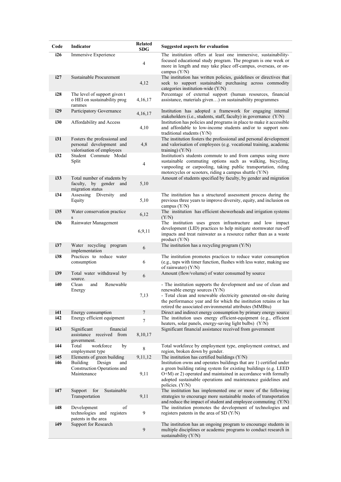| Code       | Indicator                                                                             | <b>Related</b><br><b>SDG</b> | <b>Suggested aspects for evaluation</b>                                                                                                                                                                                                                                                               |
|------------|---------------------------------------------------------------------------------------|------------------------------|-------------------------------------------------------------------------------------------------------------------------------------------------------------------------------------------------------------------------------------------------------------------------------------------------------|
| i26        | Immersive Experience                                                                  | 4                            | The institution offers at least one immersive, sustainability-<br>focused educational study program. The program is one week or<br>more in length and may take place off-campus, overseas, or on-<br>campus $(Y/N)$                                                                                   |
| i27        | Sustainable Procurement                                                               | 4,12                         | The institution has written policies, guidelines or directives that<br>seek to support sustainable purchasing across commodity<br>categories institution-wide (Y/N)                                                                                                                                   |
| i28        | The level of support given t<br>o HEI on sustainability prog<br>rammes                | 4,16,17                      | Percentage of external support (human resources, financial<br>assistance, materials given) on sustainability programmes                                                                                                                                                                               |
| i29        | Participatory Governance                                                              | 4,16,17                      | Institution has adopted a framework for engaging internal<br>stakeholders (i.e., students, staff, faculty) in governance (Y/N)                                                                                                                                                                        |
| i30        | Affordability and Access                                                              | 4,10                         | Institution has policies and programs in place to make it accessible<br>and affordable to low-income students and/or to support non-<br>traditional students $(Y/N)$                                                                                                                                  |
| i31        | Fosters the professional and<br>personal development and<br>valorisation of employees | 4,8                          | The institution fosters the professional and personal development<br>and valorisation of employees (e.g. vocational training, academic<br>training) $(Y/N)$                                                                                                                                           |
| i32        | Student Commute Modal<br>Split                                                        | $\overline{\mathcal{L}}$     | Institution's students commute to and from campus using more<br>sustainable commuting options such as walking, bicycling,<br>vanpooling or carpooling, taking public transportation, riding<br>motorcycles or scooters, riding a campus shuttle (Y/N)                                                 |
| i33        | Total number of students by<br>faculty, by gender<br>and<br>migration status          | 5,10                         | Amount of students specified by faculty, by gender and migration                                                                                                                                                                                                                                      |
| i34        | Assessing Diversity<br>and<br>Equity                                                  | 5,10                         | The institution has a structured assessment process during the<br>previous three years to improve diversity, equity, and inclusion on<br>campus $(Y/N)$                                                                                                                                               |
| i35        | Water conservation practice<br>$\bf S$                                                | 6,12                         | The institution has efficient showerheads and irrigation systems<br>(Y/N)                                                                                                                                                                                                                             |
| i36        | Rainwater Management                                                                  | 6,9,11                       | The institution uses green infrastructure and low impact<br>development (LID) practices to help mitigate stormwater run-off<br>impacts and treat rainwater as a resource rather than as a waste<br>product $(Y/N)$                                                                                    |
| i37        | Water recycling program<br>implementation                                             | 6                            | The institution has a recycling program $(Y/N)$                                                                                                                                                                                                                                                       |
| i38        | Practices to reduce water<br>consumption                                              | 6                            | The institution promotes practices to reduce water consumption<br>(e.g., taps with timer function, flushes with less water, making use<br>of rainwater) (Y/N)                                                                                                                                         |
| i39        | Total water withdrawal by<br>source.                                                  | 6                            | Amount (flow/volume) of water consumed by source                                                                                                                                                                                                                                                      |
| <i>i40</i> | and<br>Renewable<br>Clean<br>Energy                                                   | 7,13                         | - The institution supports the development and use of clean and<br>renewable energy sources (Y/N)<br>- Total clean and renewable electricity generated on-site during<br>the performance year and for which the institution retains or has<br>retired the associated environmental attributes (MMBtu) |
| i41<br>i42 | Energy consumption<br>Energy efficient equipment                                      | $\boldsymbol{7}$             | Direct and indirect energy consumption by primary energy source<br>The institution uses energy efficient-equipment (e.g., efficient                                                                                                                                                                   |
| i43        | Significant<br>financial                                                              | $\overline{7}$               | heaters, solar panels, energy-saving light bulbs) (Y/N)<br>Significant financial assistance received from government                                                                                                                                                                                  |
|            | assistance received<br>from<br>government.                                            | 8,10,17                      |                                                                                                                                                                                                                                                                                                       |
| i44        | Total<br>workforce<br>by<br>employment type                                           | 8                            | Total workforce by employment type, employment contract, and<br>region, broken down by gender.                                                                                                                                                                                                        |
| i45<br>i46 | Elements of green building<br>Building<br>Design<br>and                               | 9,11,12                      | The institution has certified buildings $(Y/N)$<br>Institution owns and operates buildings that are 1) certified under                                                                                                                                                                                |
|            | Construction Operations and<br>Maintenance                                            | 9,11                         | a green building rating system for existing buildings (e.g. LEED<br>O+M) or 2) operated and maintained in accordance with formally<br>adopted sustainable operations and maintenance guidelines and<br>policies. (Y/N)                                                                                |
| i47        | Sustainable<br>Support<br>for<br>Transportation                                       | 9,11                         | The institution has implemented one or more of the following<br>strategies to encourage more sustainable modes of transportation<br>and reduce the impact of student and employee commuting (Y/N)                                                                                                     |
| i48        | Development<br>of<br>technologies and registers<br>patents in the area                | $\mathbf{9}$                 | The institution promotes the development of technologies and<br>registers patents in the area of SD $(Y/N)$                                                                                                                                                                                           |
| i49        | Support for Research                                                                  | $\overline{9}$               | The institution has an ongoing program to encourage students in<br>multiple disciplines or academic programs to conduct research in<br>sustainability (Y/N)                                                                                                                                           |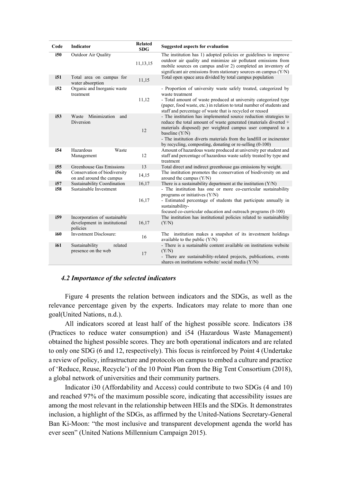| Code        | Indicator                                                                | <b>Related</b><br><b>SDG</b> | <b>Suggested aspects for evaluation</b>                                                                                                                                                                                                                                                                                                                  |
|-------------|--------------------------------------------------------------------------|------------------------------|----------------------------------------------------------------------------------------------------------------------------------------------------------------------------------------------------------------------------------------------------------------------------------------------------------------------------------------------------------|
| i50         | Outdoor Air Quality                                                      | 11,13,15                     | The institution has 1) adopted policies or guidelines to improve<br>outdoor air quality and minimize air pollutant emissions from<br>mobile sources on campus and/or 2) completed an inventory of<br>significant air emissions from stationary sources on campus (Y/N)                                                                                   |
| i51         | Total area on campus for<br>water absorption                             | 11,15                        | Total open space area divided by total campus population                                                                                                                                                                                                                                                                                                 |
| i52         | Organic and Inorganic waste<br>treatment                                 | 11,12                        | - Proportion of university waste safely treated, categorized by<br>waste treatment<br>- Total amount of waste produced at university categorized type<br>(paper, food waste, etc.) in relation to total number of students and<br>staff and percentage of waste that is recycled or reused                                                               |
| i53         | Waste Minimization<br>and<br>Diversion                                   | 12                           | - The institution has implemented source reduction strategies to<br>reduce the total amount of waste generated (materials diverted +<br>materials disposed) per weighted campus user compared to a<br>baseline (Y/N)<br>- The institution diverts materials from the landfill or incinerator<br>by recycling, composting, donating or re-selling (0-100) |
| i54         | Hazardous<br>Waste<br>Management                                         | 12                           | Amount of hazardous waste produced at university per student and<br>staff and percentage of hazardous waste safely treated by type and<br>treatment                                                                                                                                                                                                      |
| i55         | Greenhouse Gas Emissions                                                 | 13                           | Total direct and indirect greenhouse gas emissions by weight.                                                                                                                                                                                                                                                                                            |
| i56         | Conservation of biodiversity<br>on and around the campus                 | 14,15                        | The institution promotes the conservation of biodiversity on and<br>around the campus $(Y/N)$                                                                                                                                                                                                                                                            |
| i57         | Sustainability Coordination                                              | 16,17                        | There is a sustainability department at the institution $(Y/N)$                                                                                                                                                                                                                                                                                          |
| i58         | Sustainable Investment                                                   | 16,17                        | - The institution has one or more co-curricular sustainability<br>programs or initiatives $(Y/N)$<br>- Estimated percentage of students that participate annually in<br>sustainability-<br>focused co-curricular education and outreach programs (0-100)                                                                                                 |
| i59         | Incorporation of sustainable<br>development in institutional<br>policies | 16,17                        | The institution has institutional policies related to sustainability<br>(Y/N)                                                                                                                                                                                                                                                                            |
| i60         | <b>Investment Disclosure:</b>                                            | 16                           | The institution makes a snapshot of its investment holdings<br>available to the public $(Y/N)$                                                                                                                                                                                                                                                           |
| <i>i</i> 61 | Sustainability<br>related<br>presence on the web                         | 17                           | - There is a sustainable content available on institutions website<br>(Y/N)<br>- There are sustainability-related projects, publications, events<br>shares on institutions website/social media (Y/N)                                                                                                                                                    |

## *4.2 Importance of the selected indicators*

Figure 4 presents the relation between indicators and the SDGs, as well as the relevance percentage given by the experts. Indicators may relate to more than one goal(United Nations, n.d.).

All indicators scored at least half of the highest possible score. Indicators i38 (Practices to reduce water consumption) and i54 (Hazardous Waste Management) obtained the highest possible scores. They are both operational indicators and are related to only one SDG (6 and 12, respectively). This focus is reinforced by Point 4 (Undertake a review of policy, infrastructure and protocols on campus to embed a culture and practice of 'Reduce, Reuse, Recycle') of the 10 Point Plan from the Big Tent Consortium (2018), a global network of universities and their community partners.

Indicator i30 (Affordability and Access) could contribute to two SDGs (4 and 10) and reached 97% of the maximum possible score, indicating that accessibility issues are among the most relevant in the relationship between HEIs and the SDGs. It demonstrates inclusion, a highlight of the SDGs, as affirmed by the United-Nations Secretary-General Ban Ki-Moon: "the most inclusive and transparent development agenda the world has ever seen" (United Nations Millennium Campaign 2015).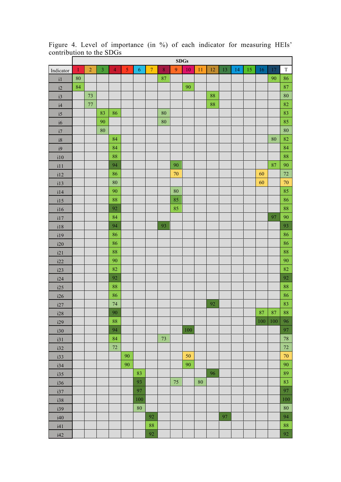|               |              | SDGs           |                |                |            |            |                  |         |          |        |        |        |    |    |    |        |       |             |
|---------------|--------------|----------------|----------------|----------------|------------|------------|------------------|---------|----------|--------|--------|--------|----|----|----|--------|-------|-------------|
| Indicator     | $\mathbf{1}$ | $\overline{2}$ | $\overline{3}$ | $\overline{4}$ | $\sqrt{5}$ | $\sqrt{6}$ | $\boldsymbol{7}$ | $\bf 8$ | 9        | $10\,$ | 11     | $12\,$ | 13 | 14 | 15 | $16\,$ | 17    | $\mathbf T$ |
| $\rm i1$      | 80           |                |                |                |            |            |                  | 87      |          |        |        |        |    |    |    |        | 90    | 86          |
| i2            | 84           |                |                |                |            |            |                  |         |          | 90     |        |        |    |    |    |        |       | 87          |
| i3            |              | $73\,$         |                |                |            |            |                  |         |          |        |        | 88     |    |    |    |        |       | 80          |
| $\mathrm{i}4$ |              | $77\,$         |                |                |            |            |                  |         |          |        |        | 88     |    |    |    |        |       | 82          |
| i5            |              |                | 83             | 86             |            |            |                  | 80      |          |        |        |        |    |    |    |        |       | 83          |
| $\mathrm{i}6$ |              |                | 90             |                |            |            |                  | 80      |          |        |        |        |    |    |    |        |       | 85          |
| i7            |              |                | 80             |                |            |            |                  |         |          |        |        |        |    |    |    |        |       | 80          |
| $\mathrm{i}8$ |              |                |                | 84             |            |            |                  |         |          |        |        |        |    |    |    |        | 80    | 82          |
| i9            |              |                |                | 84             |            |            |                  |         |          |        |        |        |    |    |    |        |       | 84          |
| i10           |              |                |                | 88             |            |            |                  |         |          |        |        |        |    |    |    |        |       | $\bf 88$    |
| i11           |              |                |                | 94             |            |            |                  |         | 90       |        |        |        |    |    |    |        | 87    | 90          |
| i12           |              |                |                | 86             |            |            |                  |         | $70\,$   |        |        |        |    |    |    | 60     |       | 72          |
| i13           |              |                |                | 80             |            |            |                  |         |          |        |        |        |    |    |    | 60     |       | $70\,$      |
| i14           |              |                |                | 90             |            |            |                  |         | $\bf 80$ |        |        |        |    |    |    |        |       | 85          |
| i15           |              |                |                | 88             |            |            |                  |         | 85       |        |        |        |    |    |    |        |       | 86          |
| i16           |              |                |                | 92             |            |            |                  |         | 85       |        |        |        |    |    |    |        |       | 88          |
| i17           |              |                |                | 84             |            |            |                  |         |          |        |        |        |    |    |    |        | 97    | 90          |
| i18           |              |                |                | 94             |            |            |                  | 93      |          |        |        |        |    |    |    |        |       | 93          |
| i19           |              |                |                | 86             |            |            |                  |         |          |        |        |        |    |    |    |        |       | 86          |
| i20           |              |                |                | 86             |            |            |                  |         |          |        |        |        |    |    |    |        |       | 86          |
| i21           |              |                |                | 88             |            |            |                  |         |          |        |        |        |    |    |    |        |       | 88          |
| i22           |              |                |                | 90             |            |            |                  |         |          |        |        |        |    |    |    |        |       | 90          |
| i23           |              |                |                | 82             |            |            |                  |         |          |        |        |        |    |    |    |        |       | 82          |
| i24           |              |                |                | 92             |            |            |                  |         |          |        |        |        |    |    |    |        |       | 92          |
| i25           |              |                |                | 88             |            |            |                  |         |          |        |        |        |    |    |    |        |       | 88          |
| i26           |              |                |                | 86             |            |            |                  |         |          |        |        |        |    |    |    |        |       | 86          |
| i27           |              |                |                | 74             |            |            |                  |         |          |        |        | 92     |    |    |    |        |       | 83          |
| i28           |              |                |                | 90             |            |            |                  |         |          |        |        |        |    |    |    |        | 87 87 | 88          |
| i29           |              |                |                | ${\bf 88}$     |            |            |                  |         |          |        |        |        |    |    |    | 100    | 100   | 96          |
| i30           |              |                |                | 94             |            |            |                  |         |          | 100    |        |        |    |    |    |        |       | 97          |
| i31           |              |                |                | $\bf 84$       |            |            |                  | 73      |          |        |        |        |    |    |    |        |       | $78\,$      |
| i32           |              |                |                | $72\,$         |            |            |                  |         |          |        |        |        |    |    |    |        |       | $72\,$      |
| i33           |              |                |                |                | 90         |            |                  |         |          | 50     |        |        |    |    |    |        |       | $70\,$      |
| i34           |              |                |                |                | 90         |            |                  |         |          | 90     |        |        |    |    |    |        |       | 90          |
| i35           |              |                |                |                |            | 83         |                  |         |          |        |        | 96     |    |    |    |        |       | 89          |
| i36           |              |                |                |                |            | 93         |                  |         | $75\,$   |        | $80\,$ |        |    |    |    |        |       | 83          |
| i37           |              |                |                |                |            | 97         |                  |         |          |        |        |        |    |    |    |        |       | 97          |
| i38           |              |                |                |                |            | 100        |                  |         |          |        |        |        |    |    |    |        |       | $100\,$     |
| i39           |              |                |                |                |            | $80\,$     |                  |         |          |        |        |        |    |    |    |        |       | $80\,$      |
| i40           |              |                |                |                |            |            | 92               |         |          |        |        |        | 97 |    |    |        |       | 94          |
| i41           |              |                |                |                |            |            | 88               |         |          |        |        |        |    |    |    |        |       | $\bf 88$    |
| i42           |              |                |                |                |            |            | 92               |         |          |        |        |        |    |    |    |        |       | 92          |

Figure 4. Level of importance (in %) of each indicator for measuring HEIs' contribution to the SDGs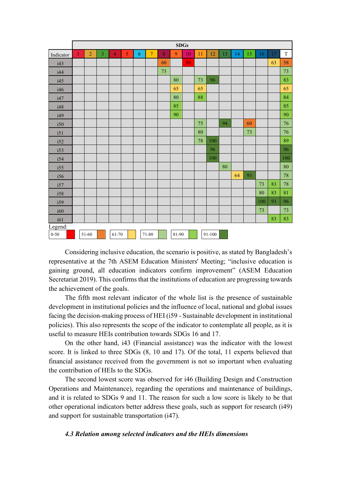|           |              |                |                |                |   |            |                |         | SDGs  |    |    |        |    |    |    |     |    |             |
|-----------|--------------|----------------|----------------|----------------|---|------------|----------------|---------|-------|----|----|--------|----|----|----|-----|----|-------------|
| Indicator | $\mathbf{1}$ | $\overline{2}$ | $\overline{3}$ | $\overline{4}$ | 5 | $\sqrt{6}$ | $\overline{7}$ | $\bf 8$ | 9     | 10 | 11 | 12     | 13 | 14 | 15 | 16  | 17 | $\mathbf T$ |
| i43       |              |                |                |                |   |            |                | 60      |       | 50 |    |        |    |    |    |     | 63 | 58          |
| i44       |              |                |                |                |   |            |                | 73      |       |    |    |        |    |    |    |     |    | 73          |
| i45       |              |                |                |                |   |            |                |         | 80    |    | 73 | 96     |    |    |    |     |    | 83          |
| i46       |              |                |                |                |   |            |                |         | 65    |    | 65 |        |    |    |    |     |    | 65          |
| i47       |              |                |                |                |   |            |                |         | 80    |    | 88 |        |    |    |    |     |    | 84          |
| i48       |              |                |                |                |   |            |                |         | 85    |    |    |        |    |    |    |     |    | 85          |
| i49       |              |                |                |                |   |            |                |         | 90    |    |    |        |    |    |    |     |    | 90          |
| i50       |              |                |                |                |   |            |                |         |       |    | 75 |        | 94 |    | 60 |     |    | 76          |
| i51       |              |                |                |                |   |            |                |         |       |    | 80 |        |    |    | 73 |     |    | 76          |
| i52       |              |                |                |                |   |            |                |         |       |    | 78 | 100    |    |    |    |     |    | 89          |
| i53       |              |                |                |                |   |            |                |         |       |    |    | 96     |    |    |    |     |    | 96          |
| i54       |              |                |                |                |   |            |                |         |       |    |    | 100    |    |    |    |     |    | 100         |
| i55       |              |                |                |                |   |            |                |         |       |    |    |        | 80 |    |    |     |    | $80\,$      |
| i56       |              |                |                |                |   |            |                |         |       |    |    |        |    | 64 | 93 |     |    | 78          |
| i57       |              |                |                |                |   |            |                |         |       |    |    |        |    |    |    | 73  | 83 | 78          |
| i58       |              |                |                |                |   |            |                |         |       |    |    |        |    |    |    | 80  | 83 | 81          |
| i59       |              |                |                |                |   |            |                |         |       |    |    |        |    |    |    | 100 | 93 | 96          |
| i60       |              |                |                |                |   |            |                |         |       |    |    |        |    |    |    | 73  |    | 73          |
| i61       |              |                |                |                |   |            |                |         |       |    |    |        |    |    |    |     | 83 | 83          |
| Legend:   |              |                |                |                |   |            |                |         |       |    |    |        |    |    |    |     |    |             |
| $0 - 50$  |              | $51 - 60$      |                | 61-70          |   |            | 71-80          |         | 81-90 |    |    | 91-100 |    |    |    |     |    |             |

Considering inclusive education, the scenario is positive, as stated by Bangladesh's representative at the 7th ASEM Education Ministers' Meeting; "inclusive education is gaining ground, all education indicators confirm improvement" (ASEM Education Secretariat 2019). This confirms that the institutions of education are progressing towards the achievement of the goals.

The fifth most relevant indicator of the whole list is the presence of sustainable development in institutional policies and the influence of local, national and global issues facing the decision-making process of HEI (i59 - Sustainable development in institutional policies). This also represents the scope of the indicator to contemplate all people, as it is useful to measure HEIs contribution towards SDGs 16 and 17.

On the other hand, i43 (Financial assistance) was the indicator with the lowest score. It is linked to three SDGs (8, 10 and 17). Of the total, 11 experts believed that financial assistance received from the government is not so important when evaluating the contribution of HEIs to the SDGs.

The second lowest score was observed for i46 (Building Design and Construction Operations and Maintenance), regarding the operations and maintenance of buildings, and it is related to SDGs 9 and 11. The reason for such a low score is likely to be that other operational indicators better address these goals, such as support for research (i49) and support for sustainable transportation (i47).

### *4.3 Relation among selected indicators and the HEIs dimensions*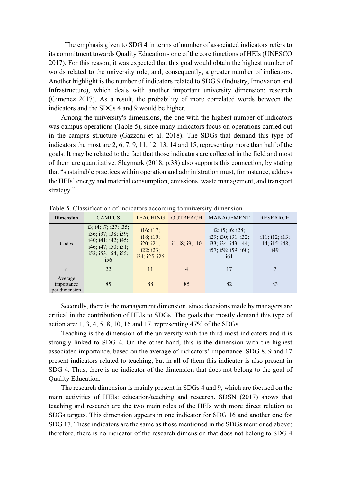The emphasis given to SDG 4 in terms of number of associated indicators refers to its commitment towards Quality Education - one of the core functions of HEIs (UNESCO 2017). For this reason, it was expected that this goal would obtain the highest number of words related to the university role, and, consequently, a greater number of indicators. Another highlight is the number of indicators related to SDG 9 (Industry, Innovation and Infrastructure), which deals with another important university dimension: research (Gimenez 2017). As a result, the probability of more correlated words between the indicators and the SDGs 4 and 9 would be higher.

Among the university's dimensions, the one with the highest number of indicators was campus operations (Table 5), since many indicators focus on operations carried out in the campus structure (Gazzoni et al. 2018). The SDGs that demand this type of indicators the most are 2, 6, 7, 9, 11, 12, 13, 14 and 15, representing more than half of the goals. It may be related to the fact that those indicators are collected in the field and most of them are quantitative. Slaymark (2018, p.33) also supports this connection, by stating that "sustainable practices within operation and administration must, for instance, address the HEIs' energy and material consumption, emissions, waste management, and transport strategy."

|                                        |                                                                                                                                                                 |                                                                   | $\tilde{\phantom{a}}$      |                                                                                                                             |                                         |
|----------------------------------------|-----------------------------------------------------------------------------------------------------------------------------------------------------------------|-------------------------------------------------------------------|----------------------------|-----------------------------------------------------------------------------------------------------------------------------|-----------------------------------------|
| <b>Dimension</b>                       | <b>CAMPUS</b>                                                                                                                                                   | <b>TEACHING</b>                                                   | <b>OUTREACH</b>            | <b>MANAGEMENT</b>                                                                                                           | <b>RESEARCH</b>                         |
| Codes                                  | $i3$ ; $i4$ ; $i7$ ; $i27$ ; $i35$ ;<br>i36; i37; i38; i39;<br>$i40$ ; $i41$ ; $i42$ ; $i45$ ;<br>$i46$ ; $i47$ ; $i50$ ; $i51$ ;<br>i52; i53; i54; i55;<br>i56 | i16; i17;<br>i18; i19;<br>i20; i21;<br>i22; i23;<br>i24; i25; i26 | $i1$ ; $i8$ ; $i9$ ; $i10$ | $i2$ ; $i5$ ; $i6$ ; $i28$ ;<br>i29; i30; i31; i32;<br>i33; i34; i43; i44;<br>i57; i58; i59; i60;<br><i>i</i> <sup>61</sup> | i11; i12; i13;<br>i14; i15; i48;<br>i49 |
| $\mathbf n$                            | 22                                                                                                                                                              | 11                                                                | $\overline{4}$             | 17                                                                                                                          |                                         |
| Average<br>importance<br>per dimension | 85                                                                                                                                                              | 88                                                                | 85                         | 82                                                                                                                          | 83                                      |

Table 5. Classification of indicators according to university dimension

Secondly, there is the management dimension, since decisions made by managers are critical in the contribution of HEIs to SDGs. The goals that mostly demand this type of action are: 1, 3, 4, 5, 8, 10, 16 and 17, representing 47% of the SDGs.

Teaching is the dimension of the university with the third most indicators and it is strongly linked to SDG 4. On the other hand, this is the dimension with the highest associated importance, based on the average of indicators' importance. SDG 8, 9 and 17 present indicators related to teaching, but in all of them this indicator is also present in SDG 4. Thus, there is no indicator of the dimension that does not belong to the goal of Quality Education.

The research dimension is mainly present in SDGs 4 and 9, which are focused on the main activities of HEIs: education/teaching and research. SDSN (2017) shows that teaching and research are the two main roles of the HEIs with more direct relation to SDGs targets. This dimension appears in one indicator for SDG 16 and another one for SDG 17. These indicators are the same as those mentioned in the SDGs mentioned above; therefore, there is no indicator of the research dimension that does not belong to SDG 4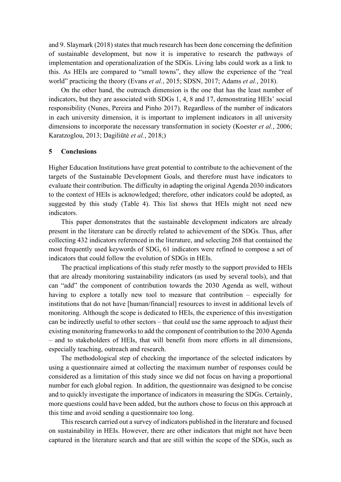and 9. Slaymark (2018) states that much research has been done concerning the definition of sustainable development, but now it is imperative to research the pathways of implementation and operationalization of the SDGs. Living labs could work as a link to this. As HEIs are compared to "small towns", they allow the experience of the "real world" practicing the theory (Evans *et al.*, 2015; SDSN, 2017; Adams *et al.*, 2018).

On the other hand, the outreach dimension is the one that has the least number of indicators, but they are associated with SDGs 1, 4, 8 and 17, demonstrating HEIs' social responsibility (Nunes, Pereira and Pinho 2017). Regardless of the number of indicators in each university dimension, it is important to implement indicators in all university dimensions to incorporate the necessary transformation in society (Koester *et al.*, 2006; Karatzoglou, 2013; Dagiliūtė *et al.*, 2018;)

## **5 Conclusions**

Higher Education Institutions have great potential to contribute to the achievement of the targets of the Sustainable Development Goals, and therefore must have indicators to evaluate their contribution. The difficulty in adapting the original Agenda 2030 indicators to the context of HEIs is acknowledged; therefore, other indicators could be adopted, as suggested by this study (Table 4). This list shows that HEIs might not need new indicators.

This paper demonstrates that the sustainable development indicators are already present in the literature can be directly related to achievement of the SDGs. Thus, after collecting 432 indicators referenced in the literature, and selecting 268 that contained the most frequently used keywords of SDG, 61 indicators were refined to compose a set of indicators that could follow the evolution of SDGs in HEIs.

The practical implications of this study refer mostly to the support provided to HEIs that are already monitoring sustainability indicators (as used by several tools), and that can "add" the component of contribution towards the 2030 Agenda as well, without having to explore a totally new tool to measure that contribution – especially for institutions that do not have [human/financial] resources to invest in additional levels of monitoring. Although the scope is dedicated to HEIs, the experience of this investigation can be indirectly useful to other sectors – that could use the same approach to adjust their existing monitoring frameworks to add the component of contribution to the 2030 Agenda – and to stakeholders of HEIs, that will benefit from more efforts in all dimensions, especially teaching, outreach and research.

The methodological step of checking the importance of the selected indicators by using a questionnaire aimed at collecting the maximum number of responses could be considered as a limitation of this study since we did not focus on having a proportional number for each global region. In addition, the questionnaire was designed to be concise and to quickly investigate the importance of indicators in measuring the SDGs. Certainly, more questions could have been added, but the authors chose to focus on this approach at this time and avoid sending a questionnaire too long.

This research carried out a survey of indicators published in the literature and focused on sustainability in HEIs. However, there are other indicators that might not have been captured in the literature search and that are still within the scope of the SDGs, such as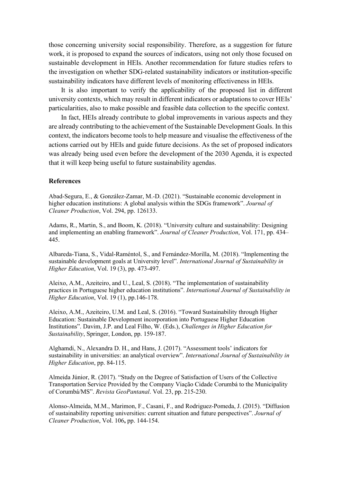those concerning university social responsibility. Therefore, as a suggestion for future work, it is proposed to expand the sources of indicators, using not only those focused on sustainable development in HEIs. Another recommendation for future studies refers to the investigation on whether SDG-related sustainability indicators or institution-specific sustainability indicators have different levels of monitoring effectiveness in HEIs.

It is also important to verify the applicability of the proposed list in different university contexts, which may result in different indicators or adaptations to cover HEIs' particularities, also to make possible and feasible data collection to the specific context.

In fact, HEIs already contribute to global improvements in various aspects and they are already contributing to the achievement of the Sustainable Development Goals. In this context, the indicators become tools to help measure and visualise the effectiveness of the actions carried out by HEIs and guide future decisions. As the set of proposed indicators was already being used even before the development of the 2030 Agenda, it is expected that it will keep being useful to future sustainability agendas.

#### **References**

Abad-Segura, E., & González-Zamar, M.-D. (2021). "Sustainable economic development in higher education institutions: A global analysis within the SDGs framework". *Journal of Cleaner Production*, Vol. 294, pp. 126133.

Adams, R., Martin, S., and Boom, K. (2018). "University culture and sustainability: Designing and implementing an enabling framework". *Journal of Cleaner Production*, Vol. 171, pp. 434– 445.

Albareda-Tiana, S., Vidal-Raméntol, S., and Fernández-Morilla, M. (2018). "Implementing the sustainable development goals at University level". *International Journal of Sustainability in Higher Education*, Vol. 19 (3), pp. 473-497.

Aleixo, A.M., Azeiteiro, and U., Leal, S. (2018). "The implementation of sustainability practices in Portuguese higher education institutions". *International Journal of Sustainability in Higher Education*, Vol. 19 (1), pp.146-178.

Aleixo, A.M., Azeiteiro, U.M. and Leal, S. (2016). "Toward Sustainability through Higher Education: Sustainable Development incorporation into Portuguese Higher Education Institutions". Davim, J.P. and Leal Filho, W. (Eds.), *Challenges in Higher Education for Sustainability*, Springer, London, pp. 159-187.

Alghamdi, N., Alexandra D. H., and Hans, J. (2017). "Assessment tools' indicators for sustainability in universities: an analytical overview". *International Journal of Sustainability in Higher Education*, pp. 84-115.

Almeida Júnior, R. (2017). "Study on the Degree of Satisfaction of Users of the Collective Transportation Service Provided by the Company Viação Cidade Corumbá to the Municipality of Corumbá/MS". *Revista GeoPantanal*. Vol. 23, pp. 215-230.

Alonso-Almeida, M.M., Marimon, F., Casani, F., and Rodriguez-Pomeda, J. (2015). "Diffusion of sustainability reporting universities: current situation and future perspectives". *Journal of Cleaner Production*, Vol. 106**,** pp. 144-154.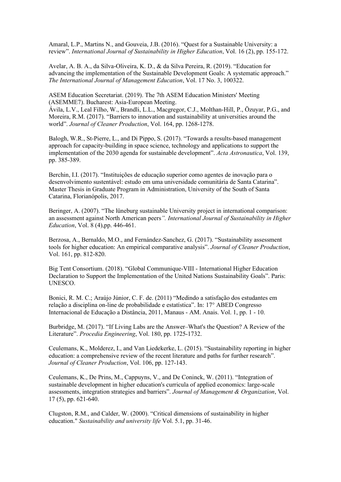Amaral, L.P., Martins N., and Gouveia, J.B. (2016). "Quest for a Sustainable University: a review". *International Journal of Sustainability in Higher Education*, Vol. 16 (2), pp. 155-172.

Avelar, A. B. A., da Silva-Oliveira, K. D., & da Silva Pereira, R. (2019). "Education for advancing the implementation of the Sustainable Development Goals: A systematic approach." *The International Journal of Management Education*, Vol. 17 No. 3, 100322.

ASEM Education Secretariat. (2019). The 7th ASEM Education Ministers' Meeting (ASEMME7). Bucharest: Asia-European Meeting.

Ávila, L.V., Leal Filho, W., Brandli, L.L., Macgregor, C.J., Molthan-Hill, P., Özuyar, P.G., and Moreira, R.M. (2017). "Barriers to innovation and sustainability at universities around the world". *Journal of Cleaner Production*, Vol. 164, pp. 1268-1278.

Balogh, W.R., St-Pierre, L., and Di Pippo, S. (2017). "Towards a results-based management approach for capacity-building in space science, technology and applications to support the implementation of the 2030 agenda for sustainable development". *Acta Astronautica*, Vol. 139, pp. 385-389.

Berchin, I.I. (2017). "Instituições de educação superior como agentes de inovação para o desenvolvimento sustentável: estudo em uma universidade comunitária de Santa Catarina". Master Thesis in Graduate Program in Administration, University of the South of Santa Catarina, Florianópolis, 2017.

Beringer, A. (2007). "The lüneburg sustainable University project in international comparison: an assessment against North American peers*". International Journal of Sustainability in Higher Education*, Vol. 8 (4),pp. 446-461.

Berzosa, A., Bernaldo, M.O., and Fernández-Sanchez, G. (2017). "Sustainability assessment tools for higher education: An empirical comparative analysis". *Journal of Cleaner Production*, Vol. 161, pp. 812-820.

Big Tent Consortium. (2018). "Global Communique-VIII - International Higher Education Declaration to Support the Implementation of the United Nations Sustainability Goals". Paris: UNESCO.

Bonici, R. M. C.; Araújo Júnior, C. F. de. (2011) "Medindo a satisfação dos estudantes em relação a disciplina on-line de probabilidade e estatística". In: 17° ABED Congresso Internacional de Educação a Distância, 2011, Manaus - AM. Anais. Vol. 1, pp. 1 - 10.

Burbridge, M. (2017). "If Living Labs are the Answer–What's the Question? A Review of the Literature". *Procedia Engineering*, Vol. 180, pp. 1725-1732.

Ceulemans, K., Molderez, I., and Van Liedekerke, L. (2015). "Sustainability reporting in higher education: a comprehensive review of the recent literature and paths for further research". *Journal of Cleaner Production*, Vol. 106, pp. 127-143.

Ceulemans, K., De Prins, M., Cappuyns, V., and De Coninck, W. (2011). "Integration of sustainable development in higher education's curricula of applied economics: large-scale assessments, integration strategies and barriers". *Journal of Management & Organization*, Vol. 17 (5), pp. 621-640.

Clugston, R.M., and Calder, W. (2000). "Critical dimensions of sustainability in higher education." *Sustainability and university life* Vol. 5.1, pp. 31-46.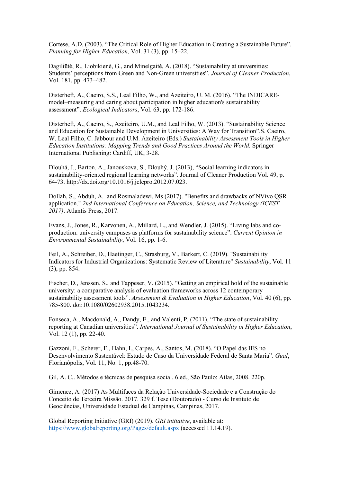Cortese, A.D. (2003). "The Critical Role of Higher Education in Creating a Sustainable Future". *Planning for Higher Education*, Vol. 31 (3), pp. 15–22.

Dagiliūtė, R., Liobikienė, G., and Minelgaitė, A. (2018). "Sustainability at universities: Students' perceptions from Green and Non-Green universities". *Journal of Cleaner Production*, Vol. 181, pp. 473–482.

Disterheft, A., Caeiro, S.S., Leal Filho, W., and Azeiteiro, U. M. (2016). "The INDICAREmodel–measuring and caring about participation in higher education's sustainability assessment". *Ecological Indicators*, Vol. 63, pp. 172-186.

Disterheft, A., Caeiro, S., Azeiteiro, U.M., and Leal Filho, W. (2013). "Sustainability Science and Education for Sustainable Development in Universities: A Way for Transition".S. Caeiro, W. Leal Filho, C. Jabbour and U.M. Azeiteiro (Eds.) *Sustainability Assessment Tools in Higher Education Institutions: Mapping Trends and Good Practices Around the World.* Springer International Publishing: Cardiff, UK, 3-28.

Dlouhá, J., Barton, A., Janouskova, S., Dlouhý, J. (2013), "Social learning indicators in sustainability-oriented regional learning networks". Journal of Cleaner Production Vol. 49, p. 64-73. http://dx.doi.org/10.1016/j.jclepro.2012.07.023.

Dollah, S., Abduh, A. and Rosmaladewi, Ms (2017). "Benefits and drawbacks of NVivo QSR application." *2nd International Conference on Education, Science, and Technology (ICEST 2017)*. Atlantis Press, 2017.

Evans, J., Jones, R., Karvonen, A., Millard, L., and Wendler, J. (2015). "Living labs and coproduction: university campuses as platforms for sustainability science". *Current Opinion in Environmental Sustainability*, Vol. 16, pp. 1-6.

Feil, A., Schreiber, D., Haetinger, C., Strasburg, V., Barkert, C. (2019). "Sustainability Indicators for Industrial Organizations: Systematic Review of Literature" *Sustainability*, Vol. 11 (3), pp. 854.

Fischer, D., Jenssen, S., and Tappeser, V. (2015). "Getting an empirical hold of the sustainable university: a comparative analysis of evaluation frameworks across 12 contemporary sustainability assessment tools". *Assessment & Evaluation in Higher Education*, Vol. 40 (6), pp. 785-800. doi:10.1080/02602938.2015.1043234.

Fonseca, A., Macdonald, A., Dandy, E., and Valenti, P. (2011). "The state of sustainability reporting at Canadian universities". *International Journal of Sustainability in Higher Education*, Vol. 12 (1), pp. 22-40.

Gazzoni, F., Scherer, F., Hahn, I., Carpes, A., Santos, M. (2018). "O Papel das IES no Desenvolvimento Sustentável: Estudo de Caso da Universidade Federal de Santa Maria". *Gual*, Florianópolis, Vol. 11, No. 1, pp.48-70.

Gil, A. C.. Métodos e técnicas de pesquisa social. 6.ed., São Paulo: Atlas, 2008. 220p.

Gimenez, A. (2017) As Multifaces da Relação Universidade-Sociedade e a Construção do Conceito de Terceira Missão. 2017. 329 f. Tese (Doutorado) - Curso de Instituto de Geociências, Universidade Estadual de Campinas, Campinas, 2017.

Global Reporting Initiative (GRI) (2019). *GRI initiative*, available at: <https://www.globalreporting.org/Pages/default.aspx> (accessed 11.14.19).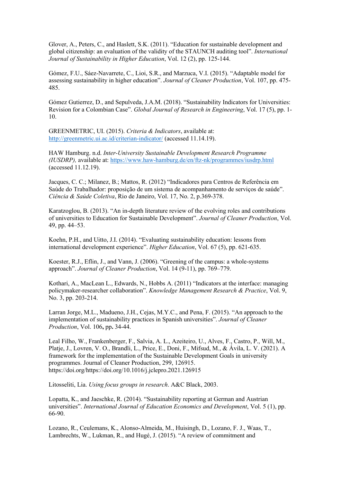Glover, A., Peters, C., and Haslett, S.K. (2011). "Education for sustainable development and global citizenship: an evaluation of the validity of the STAUNCH auditing tool". *International Journal of Sustainability in Higher Education*, Vol. 12 (2), pp. 125-144.

Gómez, F.U., Sáez-Navarrete, C., Lioi, S.R., and Marzuca, V.I. (2015). "Adaptable model for assessing sustainability in higher education". *Journal of Cleaner Production*, Vol. 107, pp. 475- 485.

Gómez Gutierrez, D., and Sepulveda, J.A.M. (2018). "Sustainability Indicators for Universities: Revision for a Colombian Case". *Global Journal of Research in Engineering*, Vol. 17 (5), pp. 1- 10.

GREENMETRIC, UI. (2015). *Criteria & Indicators*, available at: <http://greenmetric.ui.ac.id/criterian-indicator/> (accessed 11.14.19).

HAW Hamburg. n.d. *Inter-University Sustainable Development Research Programme (IUSDRP),* available at:<https://www.haw-hamburg.de/en/ftz-nk/programmes/iusdrp.html> (accessed 11.12.19).

Jacques, C. C.; Milanez, B.; Mattos, R. (2012) "Indicadores para Centros de Referência em Saúde do Trabalhador: proposição de um sistema de acompanhamento de serviços de saúde". *Ciência & Saúde Coletiva*, Rio de Janeiro, Vol. 17, No. 2, p.369-378.

Karatzoglou, B. (2013). "An in-depth literature review of the evolving roles and contributions of universities to Education for Sustainable Development". *Journal of Cleaner Production*, Vol. 49, pp. 44–53.

Koehn, P.H., and Uitto, J.I. (2014). "Evaluating sustainability education: lessons from international development experience". *Higher Education*, Vol. 67 (5), pp. 621-635.

Koester, R.J., Eflin, J., and Vann, J. (2006). "Greening of the campus: a whole-systems approach". *Journal of Cleaner Production*, Vol. 14 (9-11), pp. 769–779.

Kothari, A., MacLean L., Edwards, N., Hobbs A. (2011) "Indicators at the interface: managing policymaker-researcher collaboration". *Knowledge Management Research & Practice*, Vol. 9, No. 3, pp. 203-214.

Larran Jorge, M.L., Madueno, J.H., Cejas, M.Y.C., and Pena, F. (2015). "An approach to the implementation of sustainability practices in Spanish universities". *Journal of Cleaner Production*, Vol. 106**,** pp**.** 34-44.

Leal Filho, W., Frankenberger, F., Salvia, A. L., Azeiteiro, U., Alves, F., Castro, P., Will, M., Platje, J., Lovren, V. O., Brandli, L., Price, E., Doni, F., Mifsud, M., & Ávila, L. V. (2021). A framework for the implementation of the Sustainable Development Goals in university programmes. Journal of Cleaner Production, 299, 126915. https://doi.org/https://doi.org/10.1016/j.jclepro.2021.126915

Litosseliti, Lia. *Using focus groups in research*. A&C Black, 2003.

Lopatta, K., and Jaeschke, R. (2014). "Sustainability reporting at German and Austrian universities". *International Journal of Education Economics and Development*, Vol. 5 (1), pp. 66-90.

Lozano, R., Ceulemans, K., Alonso-Almeida, M., Huisingh, D., Lozano, F. J., Waas, T., Lambrechts, W., Lukman, R., and Hugé, J. (2015). "A review of commitment and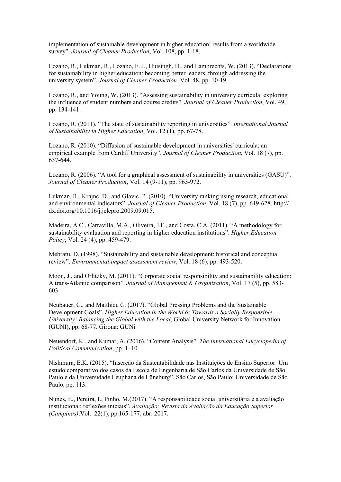implementation of sustainable development in higher education: results from a worldwide survey". *Journal of Cleaner Production*, Vol. 108, pp. 1-18.

Lozano, R., Lukman, R., Lozano, F. J., Huisingh, D., and Lambrechts, W. (2013). "Declarations for sustainability in higher education: becoming better leaders, through addressing the university system". *Journal of Cleaner Production*, Vol. 48, pp. 10-19.

Lozano, R., and Young, W. (2013). "Assessing sustainability in university curricula: exploring the influence of student numbers and course credits". *Journal of Cleaner Production*, Vol. 49, pp. 134-141.

Lozano, R. (2011). "The state of sustainability reporting in universities". *International Journal of Sustainability in Higher Education*, Vol. 12 (1), pp. 67-78.

Lozano, R. (2010). "Diffusion of sustainable development in universities' curricula: an empirical example from Cardiff University". *Journal of Cleaner Production*, Vol. 18 (7), pp. 637-644.

Lozano, R. (2006). "A tool for a graphical assessment of sustainability in universities (GASU)". *Journal of Cleaner Production*, Vol. 14 (9-11), pp. 963-972.

Lukman, R., Krajnc, D., and Glavic, P. (2010). "University ranking using research, educational and environmental indicators". *Journal of Cleaner Production*, Vol. 18 (7), pp. 619-628. http:// dx.doi.org/10.1016/j.jclepro.2009.09.015.

Madeira, A.C., Carravilla, M.A., Oliveira, J.F., and Costa, C.A. (2011). "A methodology for sustainability evaluation and reporting in higher education institutions". *Higher Education Policy*, Vol. 24 (4), pp. 459-479.

Mebratu, D. (1998). "Sustainability and sustainable development: historical and conceptual review". *Environmental impact assessment review*, Vol. 18 (6), pp. 493-520.

Moon, J., and Orlitzky, M. (2011). "Corporate social responsibility and sustainability education: A trans-Atlantic comparison". *Journal of Management & Organization*, Vol. 17 (5), pp. 583- 603.

Neubauer, C., and Matthieu C. (2017). "Global Pressing Problems and the Sustainable Development Goals". *Higher Education in the World 6: Towards a Socially Responsible University: Balancing the Global with the Local*, Global University Network for Innovation (GUNI), pp. 68-77. Girona: GUNi.

Neuendorf, K.. and Kumar, A. (2016). "Content Analysis". *The International Encyclopedia of Political Communication*, pp. 1–10.

Nishmura, E.K. (2015). "Inserção da Sustentabilidade nas Instituições de Ensino Superior: Um estudo comparativo dos casos da Escola de Engenharia de São Carlos da Universidade de São Paulo e da Universidade Leuphana de Lüneburg". São Carlos, São Paulo: Universidade de São Paulo, pp. 113.

Nunes, E., Pereira, I., Pinho, M.(2017). "A responsabilidade social universitária e a avaliação institucional: reflexões iniciais". *Avaliação: Revista da Avaliação da Educação Superior (Campinas)*.Vol. 22(1), pp.165-177, abr. 2017.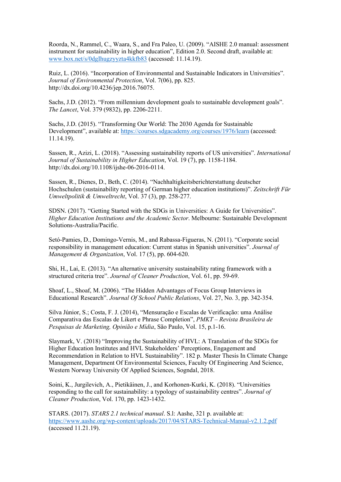Roorda, N., Rammel, C., Waara, S., and Fra Paleo, U. (2009). "AISHE 2.0 manual: assessment instrument for sustainability in higher education", Edition 2.0. Second draft, available at: [www.box.net/s/0dgIhugzyyzta4kkfb83](http://www.box.net/s/0dgIhugzyyzta4kkfb83) (accessed: 11.14.19).

Ruiz, L. (2016). "Incorporation of Environmental and Sustainable Indicators in Universities". *Journal of Environmental Protection*, Vol. 7(06), pp. 825. http://dx.doi.org/10.4236/jep.2016.76075.

Sachs, J.D. (2012). "From millennium development goals to sustainable development goals". *The Lancet*, Vol. 379 (9832), pp. 2206-2211.

Sachs, J.D. (2015). "Transforming Our World: The 2030 Agenda for Sustainable Development", available at:<https://courses.sdgacademy.org/courses/1976/learn> (accessed: 11.14.19).

Sassen, R., Azizi, L. (2018). "Assessing sustainability reports of US universities". *International Journal of Sustainability in Higher Education*, Vol. 19 (7), pp. 1158-1184. http://dx.doi.org/10.1108/ijshe-06-2016-0114.

Sassen, R., Dienes, D., Beth, C. (2014). "Nachhaltigkeitsberichterstattung deutscher Hochschulen (sustainability reporting of German higher education institutions)". *Zeitschrift Für Umweltpolitik & Umweltrecht*, Vol. 37 (3), pp. 258-277.

SDSN. (2017). "Getting Started with the SDGs in Universities: A Guide for Universities". *Higher Education Institutions and the Academic Sector*. Melbourne: Sustainable Development Solutions-Australia/Pacific.

Setó-Pamies, D., Domingo-Vernis, M., and Rabassa-Figueras, N. (2011). "Corporate social responsibility in management education: Current status in Spanish universities". *Journal of Management & Organization*, Vol. 17 (5), pp. 604-620.

Shi, H., Lai, E. (2013). "An alternative university sustainability rating framework with a structured criteria tree". *Journal of Cleaner Production*, Vol. 61, pp. 59-69.

Shoaf, L., Shoaf, M. (2006). "The Hidden Advantages of Focus Group Interviews in Educational Research". *Journal Of School Public Relations*, Vol. 27, No. 3, pp. 342-354.

Silva Júnior, S.; Costa, F. J. (2014), "Mensuração e Escalas de Verificação: uma Análise Comparativa das Escalas de Likert e Phrase Completion", *PMKT – Revista Brasileira de Pesquisas de Marketing, Opinião e Mídia*, São Paulo, Vol. 15, p.1-16.

Slaymark, V. (2018) "Improving the Sustainability of HVL: A Translation of the SDGs for Higher Education Institutes and HVL Stakeholders' Perceptions, Engagement and Recommendation in Relation to HVL Sustainability". 182 p. Master Thesis In Climate Change Management, Department Of Environmental Sciences, Faculty Of Engineering And Science, Western Norway University Of Applied Sciences, Sogndal, 2018.

Soini, K., Jurgilevich, A., Pietikäinen, J., and Korhonen-Kurki, K. (2018). "Universities responding to the call for sustainability: a typology of sustainability centres". *Journal of Cleaner Production*, Vol. 170, pp. 1423-1432.

STARS. (2017). *STARS 2.1 technical manual*. S.l: Aashe, 321 p. available at: <https://www.aashe.org/wp-content/uploads/2017/04/STARS-Technical-Manual-v2.1.2.pdf> (accessed 11.21.19).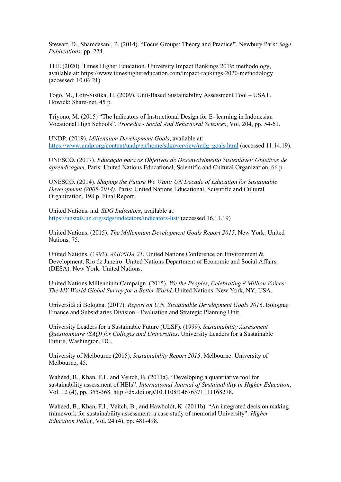Stewart, D., Shamdasani, P. (2014). "Focus Groups: Theory and Practice**"**. Newbury Park: *Sage Publications*. pp. 224.

THE (2020). Times Higher Education. University Impact Rankings 2019: methodology, available at: https://www.timeshighereducation.com/impact-rankings-2020-methodology (accessed: 10.06.21)

Togo, M., Lotz-Sisitka, H. (2009). Unit-Based Sustainability Assessment Tool – USAT. Howick: Share‐net, 45 p.

Triyono, M. (2015) "The Indicators of Instructional Design for E- learning in Indonesian Vocational High Schools". P*rocedia - Social And Behavioral Sciences*, Vol. 204, pp. 54-61.

UNDP. (2019). *Millennium Development Goals*, available at: [https://www.undp.org/content/undp/en/home/sdgoverview/mdg\\_goals.html](https://www.undp.org/content/undp/en/home/sdgoverview/mdg_goals.html) (accessed 11.14.19).

UNESCO. (2017). *Educação para os Objetivos de Desenvolvimento Sustentável: Objetivos de aprendizagem*. Paris: United Nations Educational, Scientific and Cultural Organization, 66 p.

UNESCO. (2014). *Shaping the Future We Want: UN Decade of Education for Sustainable Development (2005-2014)*. Paris: United Nations Educational, Scientific and Cultural Organization, 198 p. Final Report.

United Nations. n.d. *SDG Indicators*, available at: <https://unstats.un.org/sdgs/indicators/indicators-list/> (accessed 16.11.19)

United Nations. (2015). *The Millennium Development Goals Report 2015*. New York: United Nations, 75.

United Nations. (1993). *AGENDA 21*. United Nations Conference on Environment & Development. Rio de Janeiro: United Nations Department of Economic and Social Affairs (DESA). New York: United Nations.

United Nations Millennium Campaign. (2015). *We the Peoples, Celebrating 8 Million Voices: The MY World Global Survey for a Better World*. United Nations: New York, NY, USA.

Università di Bologna. (2017). *Report on U.N. Sustainable Development Goals 2016*. Bologna: Finance and Subsidiaries Division - Evaluation and Strategic Planning Unit.

University Leaders for a Sustainable Future (ULSF). (1999). *Sustainability Assessment Questionnaire (SAQ) for Colleges and Universities*. University Leaders for a Sustainable Future, Washington, DC.

University of Melbourne (2015). *Sustainability Report 2015*. Melbourne: University of Melbourne, 45.

Waheed, B., Khan, F.I., and Veitch, B. (2011a). "Developing a quantitative tool for sustainability assessment of HEIs". *International Journal of Sustainability in Higher Education*, Vol. 12 (4), pp. 355-368. http://dx.doi.org/10.1108/14676371111168278.

Waheed, B., Khan, F.I., Veitch, B., and Hawboldt, K. (2011b). "An integrated decision making framework for sustainability assessment: a case study of memorial University". *Higher Education Policy*, Vol. 24 (4), pp. 481-498.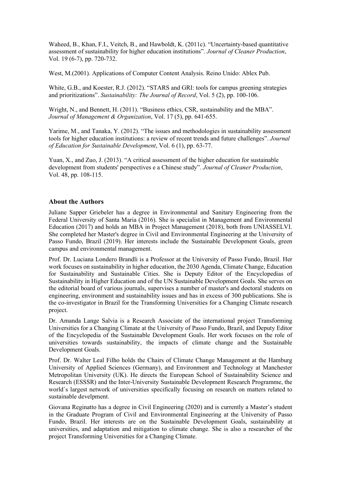Waheed, B., Khan, F.I., Veitch, B., and Hawboldt, K. (2011c). "Uncertainty-based quantitative assessment of sustainability for higher education institutions". *Journal of Cleaner Production*, Vol. 19 (6-7), pp. 720-732.

West, M.(2001). Applications of Computer Content Analysis. Reino Unido: Ablex Pub.

White, G.B., and Koester, R.J. (2012). "STARS and GRI: tools for campus greening strategies and prioritizations". *Sustainability: The Journal of Record*, Vol. 5 (2), pp. 100-106.

Wright, N., and Bennett, H. (2011). "Business ethics, CSR, sustainability and the MBA". *Journal of Management & Organization*, Vol. 17 (5), pp. 641-655.

Yarime, M., and Tanaka, Y. (2012). "The issues and methodologies in sustainability assessment tools for higher education institutions: a review of recent trends and future challenges". *Journal of Education for Sustainable Development*, Vol. 6 (1), pp. 63-77.

Yuan, X., and Zuo, J. (2013). "A critical assessment of the higher education for sustainable development from students' perspectives e a Chinese study". *Journal of Cleaner Production*, Vol. 48, pp. 108-115.

### **About the Authors**

Juliane Sapper Griebeler has a degree in Environmental and Sanitary Engineering from the Federal University of Santa Maria (2016). She is specialist in Management and Environmental Education (2017) and holds an MBA in Project Management (2018), both from UNIASSELVI. She completed her Master's degree in Civil and Environmental Engineering at the University of Passo Fundo, Brazil (2019). Her interests include the Sustainable Development Goals, green campus and environmental management.

Prof. Dr. Luciana Londero Brandli is a Professor at the University of Passo Fundo, Brazil. Her work focuses on sustainability in higher education, the 2030 Agenda, Climate Change, Education for Sustainability and Sustainable Cities. She is Deputy Editor of the Encyclopedias of Sustainability in Higher Education and of the UN Sustainable Development Goals. She serves on the editorial board of various journals, supervises a number of master's and doctoral students on engineering, environment and sustainability issues and has in excess of 300 publications. She is the co-investigator in Brazil for the Transforming Universities for a Changing Climate research project.

Dr. Amanda Lange Salvia is a Research Associate of the international project Transforming Universities for a Changing Climate at the University of Passo Fundo, Brazil, and Deputy Editor of the Encyclopedia of the Sustainable Development Goals. Her work focuses on the role of universities towards sustainability, the impacts of climate change and the Sustainable Development Goals.

Prof. Dr. Walter Leal Filho holds the Chairs of Climate Change Management at the Hamburg University of Applied Sciences (Germany), and Environment and Technology at Manchester Metropolitan University (UK). He directs the European School of Sustainability Science and Research (ESSSR) and the Inter-University Sustainable Development Research Programme, the world´s largest network of universities specifically focusing on research on matters related to sustainable develpment.

Giovana Reginatto has a degree in Civil Engineering (2020) and is currently a Master's student in the Graduate Program of Civil and Environmental Engineering at the University of Passo Fundo, Brazil. Her interests are on the Sustainable Development Goals, sustainability at universities, and adaptation and mitigation to climate change. She is also a researcher of the project Transforming Universities for a Changing Climate.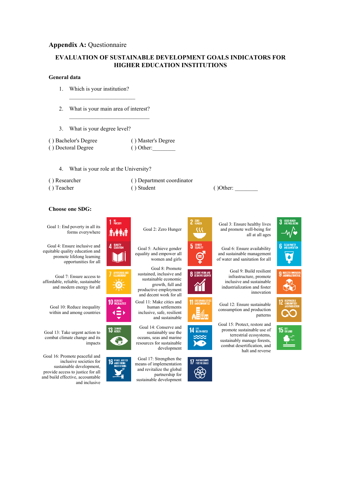### **Appendix A: Questionnaire**

## **EVALUATION OF SUSTAINABLE DEVELOPMENT GOALS INDICATORS FOR HIGHER EDUCATION INSTITUTIONS**

#### **General data**

- 1. Which is your institution?
- 2. What is your main area of interest?

 $\overline{\phantom{a}}$  , and the set of the set of the set of the set of the set of the set of the set of the set of the set of the set of the set of the set of the set of the set of the set of the set of the set of the set of the s

 $\overline{\phantom{a}}$  , and the set of the set of the set of the set of the set of the set of the set of the set of the set of the set of the set of the set of the set of the set of the set of the set of the set of the set of the s

3. What is your degree level?

| () Bachelor's Degree | () Master's Degree |
|----------------------|--------------------|
| () Doctoral Degree   | $()$ Other:        |

- 4. What is your role at the University?
- 
- 
- ( ) Researcher ( ) Department coordinator ( ) Teacher ( ) Student ( ) Other:



Goal 1: End poverty in all its forms everywhere  $\mathbf{\hat{N}}$   $\mathbf{\hat{N}}$  Goal 2: Zero Hunger

Goal 4: Ensure inclusive and equitable quality education and promote lifelong learning opportunities for all

Goal 7: Ensure access to affordable, reliable, sustainable and modern energy for all





Goal 16: Promote peaceful and inclusive societies for sustainable development, provide access to justice for all and build effective, accountable and inclusive







Goal 5: Achieve gender equality and empower all women and girls

Goal 8: Promote sustained, inclusive and sustainable economic growth, full and productive employment and decent work for all

Goal 11: Make cities and human settlements inclusive, safe, resilient and sustainable

Goal 14: Conserve and sustainably use the oceans, seas and marine resources for sustainable development

Goal 17: Strengthen the means of implementation and revitalize the global partnership for sustainable development













of water and sanitation for all Goal 9: Build resilient

infrastructure, promote inclusive and sustainable industrialization and foster innovation



Goal 15: Protect, restore and promote sustainable use of terrestrial ecosystems, sustainably manage forests, combat desertification, and halt and reverse